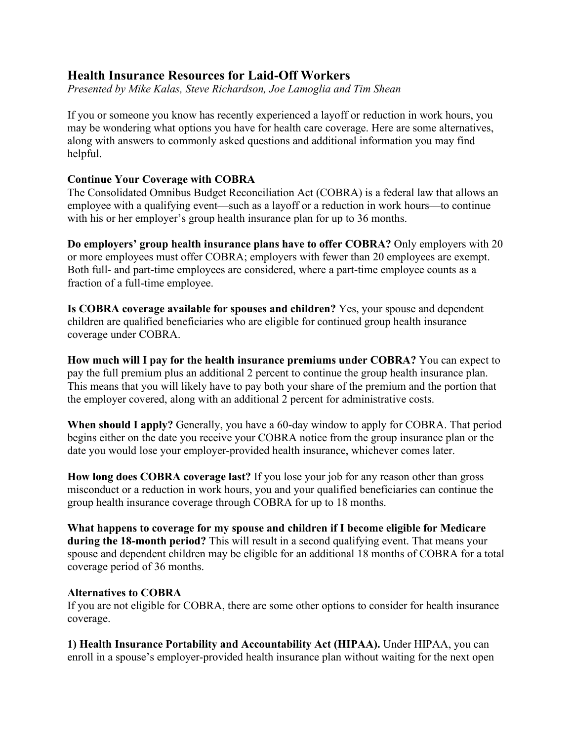# **Health Insurance Resources for Laid-Off Workers**

*Presented by Mike Kalas, Steve Richardson, Joe Lamoglia and Tim Shean*

If you or someone you know has recently experienced a layoff or reduction in work hours, you may be wondering what options you have for health care coverage. Here are some alternatives, along with answers to commonly asked questions and additional information you may find helpful.

## **Continue Your Coverage with COBRA**

The Consolidated Omnibus Budget Reconciliation Act (COBRA) is a federal law that allows an employee with a qualifying event—such as a layoff or a reduction in work hours—to continue with his or her employer's group health insurance plan for up to 36 months.

**Do employers' group health insurance plans have to offer COBRA?** Only employers with 20 or more employees must offer COBRA; employers with fewer than 20 employees are exempt. Both full- and part-time employees are considered, where a part-time employee counts as a fraction of a full-time employee.

**Is COBRA coverage available for spouses and children?** Yes, your spouse and dependent children are qualified beneficiaries who are eligible for continued group health insurance coverage under COBRA.

**How much will I pay for the health insurance premiums under COBRA?** You can expect to pay the full premium plus an additional 2 percent to continue the group health insurance plan. This means that you will likely have to pay both your share of the premium and the portion that the employer covered, along with an additional 2 percent for administrative costs.

**When should I apply?** Generally, you have a 60-day window to apply for COBRA. That period begins either on the date you receive your COBRA notice from the group insurance plan or the date you would lose your employer-provided health insurance, whichever comes later.

**How long does COBRA coverage last?** If you lose your job for any reason other than gross misconduct or a reduction in work hours, you and your qualified beneficiaries can continue the group health insurance coverage through COBRA for up to 18 months.

**What happens to coverage for my spouse and children if I become eligible for Medicare during the 18-month period?** This will result in a second qualifying event. That means your spouse and dependent children may be eligible for an additional 18 months of COBRA for a total coverage period of 36 months.

## **Alternatives to COBRA**

If you are not eligible for COBRA, there are some other options to consider for health insurance coverage.

**1) Health Insurance Portability and Accountability Act (HIPAA).** Under HIPAA, you can enroll in a spouse's employer-provided health insurance plan without waiting for the next open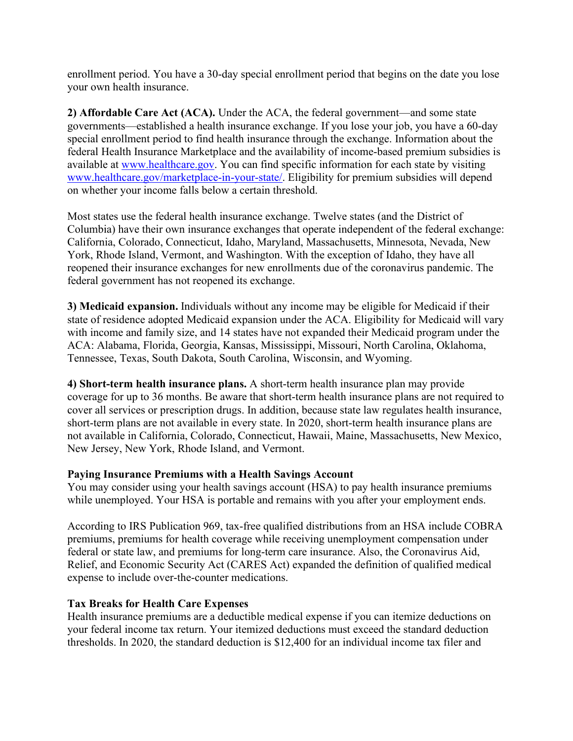enrollment period. You have a 30-day special enrollment period that begins on the date you lose your own health insurance.

**2) Affordable Care Act (ACA).** Under the ACA, the federal government—and some state governments—established a health insurance exchange. If you lose your job, you have a 60-day special enrollment period to find health insurance through the exchange. Information about the federal Health Insurance Marketplace and the availability of income-based premium subsidies is available at [www.healthcare.gov.](http://www.healthcare.gov/) You can find specific information for each state by visiting [www.healthcare.gov/marketplace-in-your-state/.](http://www.healthcare.gov/marketplace-in-your-state/) Eligibility for premium subsidies will depend on whether your income falls below a certain threshold.

Most states use the federal health insurance exchange. Twelve states (and the District of Columbia) have their own insurance exchanges that operate independent of the federal exchange: California, Colorado, Connecticut, Idaho, Maryland, Massachusetts, Minnesota, Nevada, New York, Rhode Island, Vermont, and Washington. With the exception of Idaho, they have all reopened their insurance exchanges for new enrollments due of the coronavirus pandemic. The federal government has not reopened its exchange.

**3) Medicaid expansion.** Individuals without any income may be eligible for Medicaid if their state of residence adopted Medicaid expansion under the ACA. Eligibility for Medicaid will vary with income and family size, and 14 states have not expanded their Medicaid program under the ACA: Alabama, Florida, Georgia, Kansas, Mississippi, Missouri, North Carolina, Oklahoma, Tennessee, Texas, South Dakota, South Carolina, Wisconsin, and Wyoming.

**4) Short-term health insurance plans.** A short-term health insurance plan may provide coverage for up to 36 months. Be aware that short-term health insurance plans are not required to cover all services or prescription drugs. In addition, because state law regulates health insurance, short-term plans are not available in every state. In 2020, short-term health insurance plans are not available in California, Colorado, Connecticut, Hawaii, Maine, Massachusetts, New Mexico, New Jersey, New York, Rhode Island, and Vermont.

## **Paying Insurance Premiums with a Health Savings Account**

You may consider using your health savings account (HSA) to pay health insurance premiums while unemployed. Your HSA is portable and remains with you after your employment ends.

According to IRS Publication 969, tax-free qualified distributions from an HSA include COBRA premiums, premiums for health coverage while receiving unemployment compensation under federal or state law, and premiums for long-term care insurance. Also, the Coronavirus Aid, Relief, and Economic Security Act (CARES Act) expanded the definition of qualified medical expense to include over-the-counter medications.

## **Tax Breaks for Health Care Expenses**

Health insurance premiums are a deductible medical expense if you can itemize deductions on your federal income tax return. Your itemized deductions must exceed the standard deduction thresholds. In 2020, the standard deduction is \$12,400 for an individual income tax filer and